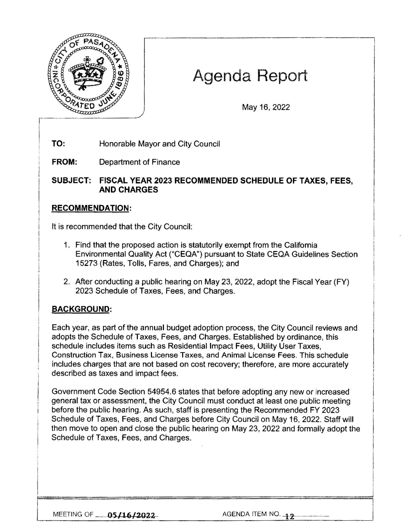

# Agenda Report

May 16, 2022

**TO:**  Honorable Mayor and City Council

**FROM:**  Department of Finance

**SUBJECT: FISCAL YEAR 2023 RECOMMENDED SCHEDULE OF TAXES, FEES, AND CHARGES** 

# **RECOMMENDATION:**

It is recommended that the City Council:

- 1. Find that the proposed action is statutorily exempt from the California Environmental Quality Act ("CEQA") pursuant to State CEQA Guidelines Section 15273 (Rates, Tolls, Fares, and Charges); and
- 2. After conducting a public hearing on May 23, 2022, adopt the Fiscal Year (FY) 2023 Schedule of Taxes, Fees, and Charges.

#### **BACKGROUND:**

Each year, as part of the annual budget adoption process, the City Council reviews and adopts the Schedule of Taxes, Fees, and Charges. Established by ordinance, this schedule includes items such as Residential Impact Fees, Utility User Taxes, Construction Tax, Business License Taxes, and Animal License Fees. This schedule includes charges that are not based on cost recovery; therefore, are more accurately described as taxes and impact fees.

Government Code Section 54954.6 states that before adopting any new or increased general tax or assessment, the City Council must conduct at least one public meeting before the public hearing. As such, staff is presenting the Recommended FY 2023 Schedule of Taxes, Fees, and Charges before City Council on May 16, 2022. Staff will then move to open and close the public hearing on May 23, 2022 and formally adopt the Schedule of Taxes, Fees, and Charges.

MEETING OF **05/16/2022** AGENDA ITEM NO. **12**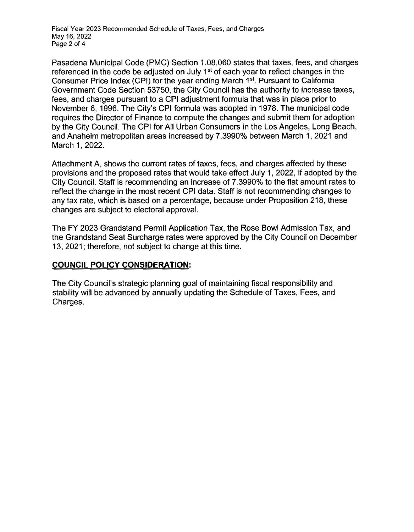Fiscal Year 2023 Recommended Schedule of Taxes, Fees, and Charges May 16, 2022 Page 2 of 4

Pasadena Municipal Code (PMC) Section 1.08.060 states that taxes, fees, and charges referenced in the code be adjusted on July 1<sup>st</sup> of each year to reflect changes in the Consumer Price Index (CPI) for the year ending March 1<sup>st</sup>. Pursuant to California Government Code Section 53750, the City Council has the authority to increase taxes, fees, and charges pursuant to a CPI adjustment formula that was in place prior to November 6, 1996. The City's CPI formula was adopted in 1978. The municipal code requires the Director of Finance to compute the changes and submit them for adoption by the City Council. The CPI for All Urban Consumers in the Los Angeles, Long Beach, and Anaheim metropolitan areas increased by 7.3990% between March 1, 2021 and March 1, 2022.

Attachment A, shows the current rates of taxes, fees, and charges affected by these provisions and the proposed rates that would take effect July 1, 2022, if adopted by the City Council. Staff is recommending an increase of 7.3990% to the flat amount rates to reflect the change in the most recent CPI data. Staff is not recommending changes to any tax rate, which is based on a percentage, because under Proposition 218, these changes are subject to electoral approval.

The FY 2023 Grandstand Permit Application Tax, the Rose Bowl Admission Tax, and the Grandstand Seat Surcharge rates were approved by the City Council on December 13, 2021; therefore, not subject to change at this time.

# **COUNCIL POLICY CONSIDERATION:**

The City Council's strategic planning goal of maintaining fiscal responsibility and stability will be advanced by annually updating the Schedule of Taxes, Fees, and Charges.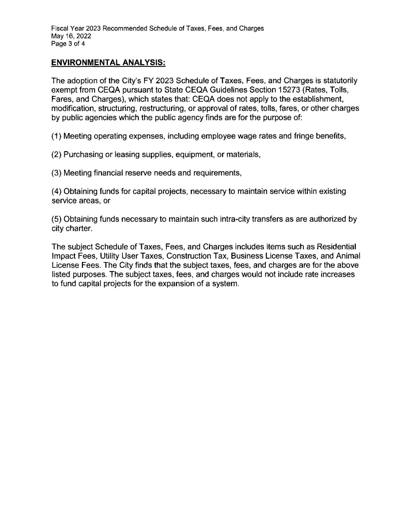### **ENVIRONMENTAL ANALYSIS:**

The adoption of the City's FY 2023 Schedule of Taxes, Fees, and Charges is statutorily exempt from CEQA pursuant to State CEQA Guidelines Section 15273 (Rates, Tolls, Fares, and Charges), which states that: CEQA does not apply to the establishment, modification, structuring, restructuring, or approval of rates, tolls, fares, or other charges by public agencies which the public agency finds are for the purpose of:

(1) Meeting operating expenses, including employee wage rates and fringe benefits,

(2) Purchasing or leasing supplies, equipment, or materials,

(3) Meeting financial reserve needs and requirements,

(4) Obtaining funds for capital projects, necessary to maintain service within existing service areas, or

(5) Obtaining funds necessary to maintain such intra-city transfers as are authorized by city charter.

The subject Schedule of Taxes, Fees, and Charges includes items such as Residential Impact Fees, Utility User Taxes, Construction Tax, Business License Taxes, and Animal License Fees. The City finds that the subject taxes, fees, and charges are for the above listed purposes. The subject taxes, fees, and charges would not include rate increases to fund capital projects for the expansion of a system.